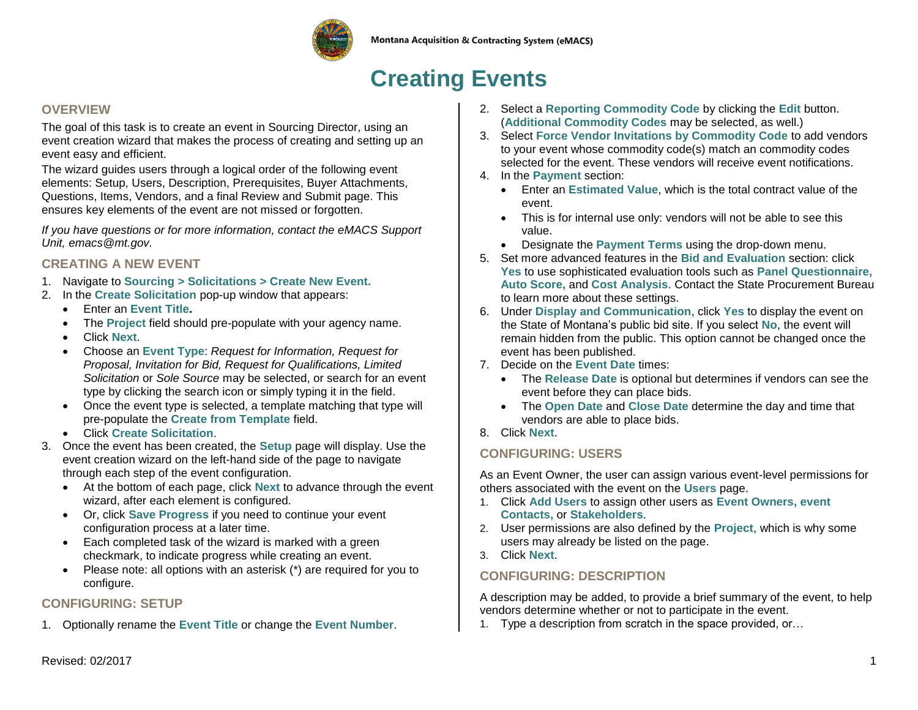

# **Creating Events**

#### **OVERVIEW**

The goal of this task is to create an event in Sourcing Director, using an event creation wizard that makes the process of creating and setting up an event easy and efficient.

The wizard guides users through a logical order of the following event elements: Setup, Users, Description, Prerequisites, Buyer Attachments, Questions, Items, Vendors, and a final Review and Submit page. This ensures key elements of the event are not missed or forgotten.

*If you have questions or for more information, contact the eMACS Support Unit, emacs@mt.gov.* 

#### **CREATING A NEW EVENT**

- 1. Navigate to **Sourcing > Solicitations > Create New Event.**
- 2. In the **Create Solicitation** pop-up window that appears:
	- Enter an **Event Title.**
	- The **Project** field should pre-populate with your agency name.
	- Click **Next**.
	- Choose an **Event Type**: *Request for Information, Request for Proposal, Invitation for Bid, Request for Qualifications, Limited Solicitation* or *Sole Source* may be selected, or search for an event type by clicking the search icon or simply typing it in the field.
	- Once the event type is selected, a template matching that type will pre-populate the **Create from Template** field.
	- Click **Create Solicitation**.
- 3. Once the event has been created, the **Setup** page will display. Use the event creation wizard on the left-hand side of the page to navigate through each step of the event configuration.
	- At the bottom of each page, click **Next** to advance through the event wizard, after each element is configured.
	- Or, click **Save Progress** if you need to continue your event configuration process at a later time.
	- Each completed task of the wizard is marked with a green checkmark, to indicate progress while creating an event.
	- Please note: all options with an asterisk (\*) are required for you to configure.

### **CONFIGURING: SETUP**

1. Optionally rename the **Event Title** or change the **Event Number**.

- 2. Select a **Reporting Commodity Code** by clicking the **Edit** button. (**Additional Commodity Codes** may be selected, as well.)
- 3. Select **Force Vendor Invitations by Commodity Code** to add vendors to your event whose commodity code(s) match an commodity codes selected for the event. These vendors will receive event notifications.
- 4. In the **Payment** section:
	- Enter an **Estimated Value**, which is the total contract value of the event.
	- This is for internal use only: vendors will not be able to see this value.
	- Designate the **Payment Terms** using the drop-down menu.
- 5. Set more advanced features in the **Bid and Evaluation** section: click **Yes** to use sophisticated evaluation tools such as **Panel Questionnaire, Auto Score,** and **Cost Analysis**. Contact the State Procurement Bureau to learn more about these settings.
- 6. Under **Display and Communication**, click **Yes** to display the event on the State of Montana's public bid site. If you select **No**, the event will remain hidden from the public. This option cannot be changed once the event has been published.
- 7. Decide on the **Event Date** times:
	- The **Release Date** is optional but determines if vendors can see the event before they can place bids.
	- The **Open Date** and **Close Date** determine the day and time that vendors are able to place bids.
- 8. Click **Next**.

## **CONFIGURING: USERS**

As an Event Owner, the user can assign various event-level permissions for others associated with the event on the **Users** page.

- 1. Click **Add Users** to assign other users as **Event Owners, event Contacts,** or **Stakeholders**.
- 2. User permissions are also defined by the **Project**, which is why some users may already be listed on the page.
- 3. Click **Next**.

## **CONFIGURING: DESCRIPTION**

A description may be added, to provide a brief summary of the event, to help vendors determine whether or not to participate in the event.

1. Type a description from scratch in the space provided, or…